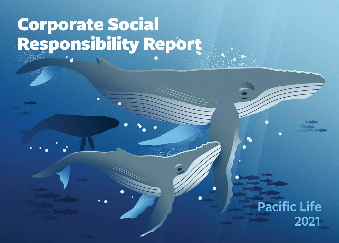# Corporate Social Responsibility Report

## **Pacific Life 2021**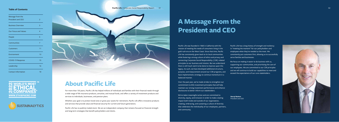Pacific Life has a long history of strength and resiliency in "meeting the moment" for our policyholders and employees when they've needed us the most. We consistently put customers first, allowing us to successfully serve families and businesses.

We focus on making it easier to do business with us, supporting our communities, and prioritizing the care of our employees. We are committed to our CSR principles and we will continue to build our capabilities to meet and exceed the expectations of our core stakeholders.

## **About Pacific Life**

For more than 150 years, Pacific Life has helped millions of individuals and families with their financial needs through a wide range of life insurance products, annuities, and mutual funds, and offers a variety of investment products and services to individuals, businesses, and pension plans.

Whether your goal is to protect loved ones or grow your assets for retirement, Pacific Life offers innovative products and services that provide value and financial security for current and future generations.

Pacific Life has no publicly traded stock. We are an independent company that remains focused on financial strength and long-term strategies that benefit policyholders and clients.

Pacific Life was founded in 1868 in California with the mission of meeting the needs of consumers living in the gold rush era on the West Coast. Since that time, Pacific Life has consistently given back to its local communities while fostering a strong culture of ethics and privacy and connecting Corporate Social Responsibility (CSR)-related principles to our business and mission. But we understand there is still much work to be done to improve upon this legacy. As such, we have developed additional structure, purpose, and measurement around our CSR programs, and have implemented a strategy to continue momentum in a balanced manner.

Over the past year, we've made strides to strengthen our commitment to ESG investment principles that will help maintain our strong investment performance and enhance disclosures to better inform our stakeholders.

We've taken meaningful action and are committed to diversity, equity, and inclusion in order to make a lasting impact both inside and outside of our organization, creating, embracing, and sustaining a culture of diversity that celebrates the individuality of our employees, partners, and community.

## **A Message From the President and CEO**

**Darryl Button** President and CEO



| Message from the            |                |
|-----------------------------|----------------|
| President and CEO           | $\overline{2}$ |
| <b>Business Overview</b>    | 3              |
| <b>Our Focus and Values</b> | 4              |
| People                      | 5              |
| Communities                 | 7              |
| Customers                   | 11             |
| Environment                 | 13             |
| <b>COVID-19 Response</b>    | 15             |
| Leadership                  | 16             |
| <b>Contact Information</b>  | 18             |





#### Pacific Life | Corporate Social Responsibility Report 01



#### **Table of Contents**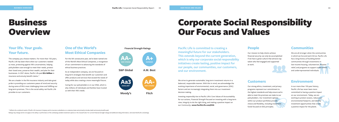The company you choose matters. For more than 150 years, Pacific Life has been there when our customers needed us most, protecting against life's uncertainties, helping policyholders save enough to meet their needs, protect their loved ones, preserve their wealth, and plan for their businesses. In 2021 alone, Pacific Life paid **\$3.4 billion** in insurance and annuity benefit claims.\*

We are a leader in the life insurance industry and take great pride in providing our customers peace of mind and security during some of life's most challenging times and fulfilling our long-term promises. This is the social safety net Pacific Life provides to our customers.

\* Reflects the combined results of Pacific Life Insurance Company and its insurance subsidiaries on a statutory basis and primarily includes death and annuity benefits paid.

Ratings may change and do not apply to the safety or performance of the underlying variable investment options or the mutual funds. For current financial strength ratings and additional rating information, visit www.Pacifi

For the 5th consecutive year, we've been named one of the World's Most Ethical Companies, a recognition of our commitment to advancing the standards of ethical business practices.

As an independent company, we are focused on long-term strategies that benefit our customers and offer products and services that exceed the needs of today while also creating a more meaningful future.

Caring for our policyholders is in our DNA, which is why millions of individuals and families have trusted us with their life's needs.



### **Your life. Your goals. Your future.**

### **One of the World's Most Ethical Companies**

# Corporate Social Responsibility Our Focus and Values

**Pacific Life is committed to creating a meaningful future for our stakeholders. This extends beyond the current generation, which is why our corporate social responsibility initiatives create lasting, positive impact for our people, our communities, our customers, and our environment.**

**People**

### **Environment**

### **Communities**

#### **Customers**

Our mission to help clients achieve financial security can only be accomplished if we have a great culture that attracts top talent who feel engaged and supported at work.



In our more than 150-year history, Pacific Life has never been more committed to having a positive impact on our environment. Today, we are working to protect oceans, reduce our environmental footprint, and identify investment opportunities that create a positive impact for the planet.

We are all stronger when the communities in which we live and work thrive. Pacific Life has a long history of building better communities through investments in low-income housing, volunteerism, disaster relief, and programs to support underserved and underrepresented individuals.

Our strong ethics, investment, and privacy programs represent our commitment to the highest standards and help ensure we're able to meet the promises we make to our policyholders. Our investment options within our product portfolios provide choice and flexibility, including investment funds focused on ESG principles.

We strive to generate sustainable, long-term investment returns in a balanced, responsible manner. With this in mind, we acknowledge the evolving importance of environmental, social, and governance (ESG) factors and are increasingly integrating them into our investment decision making.

Investing responsibly ties to Pacific Life's Core Values of *Accountability* for our actions, *Financial Strength* focused on investing with a long-term view, *Integrity* to do the right thing, and making a positive impact on our *Community*. **www.PacificLife.com/ESG**

## Business **Overview**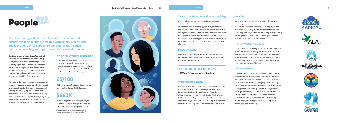#### Our *Enterprise Inclusion Council* consists of **Action for Diversity & Inclusion**

Pacific Life has joined more than 2,000 CEOs from other companies, associations, and universities to advance diversity and inclusion within the workplace through the *CEO Action for Diversity & Inclusion™* pledge.

We invest in developing the talents and expertise of our employees and foster a work environment where people can be their authentic selves while working in a challenging, collaborative, and results-oriented environment. We hold monthly diversity circles for employees that regularly bring together external experts and thought leaders that both engage and inspire our leadership. in matching grants supporting employee that both engage and inspire our leadership.

a diverse, cross functional, multi-level group of employees committed to creating a culture of belonging at Pacific Life that unleashes the potential of all employees and drives business success. We understand a diverse workplace enhances our ability to deliver on our mission to help clients achieve financial security.

> contributions made through the Matching Gifts and United Way programs in 2021<br>\* This number is a subset of total charitable giving

by Pacific Life and the Pacific Life Foundation



2022 score on the Corporate Equality Index issued by the Human Rights Campaign

We invest in attracting and developing the talents and expertise of our employees and strive to foster a work environment that is challenging, inclusive, collaborative, and results-oriented. We celebrate the individuality of our employees, partners, customers, and community. Our talent management system allows Pacific Life to identify diverse candidates and provide opportunities across the enterprise for advancement, development, and promotion at all levels of the workforce.

We are proud that our own Board of Directors includes members with various racial and ethnic backgrounds, in addition to gender diversity.

#### **Pacific Life** | Corporate Social Responsibility Report



#### **Talent Acquisition, Retention, and Training**

Valuing flexibility and aiming to create a workplace culture that offers options in the way employees work, while also meeting business needs, Pacific Life has transitioned to a hybrid workplace model, allowing us to continue providing best-in-class customer service while ensuring employees establish a positive work/life balance.

PL Connections, our employee resource groups, create a more diverse and inclusive workplace from the ground up, offering employees a place to build community, connection, camaraderie, and a sense of belonging. These voluntary groups have formed among commonalities of ethnicity/race, ability, gender, nationality, generation, military/veteran status, gender identity, and sexual orientation and include AAPI@PL for Asian-Americans and Pacific Islanders, ALAs@PL for Latino/Hispanic Americans, Developing Professionals@PL, Pride@PL for LGBTQ+ employees, Women@PL, and Veterans@PL.







**PROFESSIONALS** @ PACIFIC LIFE





We believe our employees are the most valuable part of our organization and offer comprehensive benefits to support the health and wellbeing of our employees and their families, including mental health benefits, financial counseling, company-wide time off, an employee matching gift program, access to COVID-19 testing, and financial support for home-work environments.

#### **Benefits**

#### **Hybrid Work Environment**

#### **PL Connections**

#### **Board Diversity**

### **\$660K \***

### **95/100**

**People are our greatest asset. Pacific Life is committed to ensuring that all people are treated with dignity and respect, and is proud to offer support to our employees through education, training, and a positive workplace environment.**

> We partner with diversity-focused organizations to support a more inclusive workforce, including the Association for Wholesaling Diversity, Coalition for Equity in Wholesaling, International Association for Black Actuaries, OC Grantmakers, Organization of Latino Actuaries, The American College Center for Economic Empowerment and Equality, and the Virginia Center for Inclusive Communities.

#### **Workforce Inclusivity**

### **13 BOARD MEMBERS**

**· 38% are female and/or ethnic minority**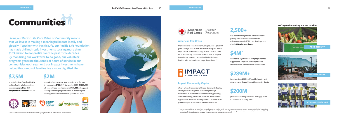# Communities







#### **We're proud to actively work to provide:**

U.S.-based employees and family members participated in community-based and volunteer events in 2021, contributing more than **5,800 volunteer hours**

### **2,500+**

donated to organizations and programs that support and empower underrepresented individuals and families in our communities

invested since 2001 in affordable housing unit developments through Impact Community Capital

portfolio of directly owned or mortgage loans for affordable housing units

**\$4M\***

### **\$289M+**

### **\$200M**

committed to improving food security over the next five years, with **\$400,000\*** donated in 2021. **\$1,250,000** will support local food banks and **\$750,000** will support Feeding America® programs aimed at increasing the sourcing and distribution of fresh, nutritious food.



in contributions from Pacific Life and the Pacific Life Foundation benefiting **more than 465 nonprofits and schools** in 2021

## **\$7.5M \$2M**

**Living our Pacific Life Core Value of Community means that we invest in making a meaningful impact locally and globally. Together with Pacific Life, our Pacific Life Foundation has made philanthropic investments totaling more than \$133 million to nonprofits over the past three decades. By mobilizing our workforce to do good, our volunteer programs generate thousands of hours of service in our communities each year. And our impact investments have helped thousands of families live a more dignified life.**

The Pacific Life Foundation annually provides a \$250,000 grant through the Disaster Responder Program, which helps secure a reliable funding base for disaster relief services, enabling the American Red Cross to respond immediately, meeting the needs of individuals and families affected by disaster, regardless of cost.\*\*



We are a founding member of Impact Community Capital, whose goal is to bring about social change through investments in underinvested communities by providing affordable housing, healthcare, childcare, and economic opportunities while also enabling investors to unleash the power of capital to transform communities in scale.

#### **American Red Cross**

#### **Impact Community Capital**

\*\* The American Red Cross name and logo are used with its permission, which in no way constitutes an endorsement, express or implied, of any product, service, company, or opinion or political position. The American Red Cross name and logo are registered trademarks owned by the American National



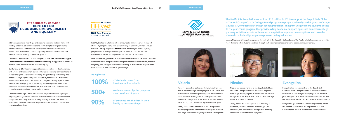Addressing the racial wealth gap and creating economic mobility starts with uplifting underserved communities and committing to lasting communityfocused solutions. The education and empowerment of Black financial professionals and the Black community is of paramount importance to the financial services industry's future and growth.

The Pacific Life Foundation is proud to partner with *The American College's Center for Economic Empowerment and Equality* in support of its efforts as it writes a new narrative around economic equity.

Our funding of \$1 million will support financial education for Black America, with a focus on Black women; career pathways and training for Black financial professionals; and an executive leadership program for up-and-coming Black leaders. Through a partnership with the Society for Financial Education & Professional Development, the American College will amplify a peer-to-peer financial education program in historically black colleges and universities, implement train-the-trainer education programs, and provide access to an eLearning solution, college events, and scholarships.

The American College Center for Economic Empowerment and Equality is beginning a thoughtful and impactful journey to create sustainable economic change. We are looking forward to being an integral part of the research and collaboration that builds a lasting infrastructure to support sustainable, generational solutions.



In 2019, the Pacific Life Foundation announced a \$2 million grant in support of our 10-year partnership with the University of California, Irvine's LIFEvest Financial Literacy program. **LIFEvest** makes a meaningful impact in young people's lives, teaching not only important financial skills, but also the confidence to pursue a college education and plan for the future.

Local 8th and 9th graders from underserved communities in Southern California experience life on campus while learning about the value of education, financial budgeting, and saving for retirement — helping to motivate and prepare them to be the first in their families to go to college.

> As a first-generation college student, Valeria knew she had to join the College Bound program in 2017 when first introduced to it at her high school, Samueli Academy. In 2021, Valeria was recognized as the Boys & Girls Clubs of Central Orange Coast 2021 Youth of the Year and was awarded \$5,000 to pursue her higher education goals.

Today, she is an active member of the College Bound alumni program and attends the University of California, San Diego where she is majoring in Human Development.

#### **Valeria**

#### Nicolas has been a member of the Boys & Girls Clubs of Central Orange Coast since 2016 when he joined the College Bound program as a freshman. He was also recognized as the Boys & Girls Clubs of Central Orange Coast 2020 Youth of the Year.

Today, he is in his second year at the University of California, Riverside where he is majoring in Cell, Molecular, and Development Biology while minoring in Business and aspires to be a physician.



#### **Nicolas**

Evangelina has been a member of the Boys & Girls Clubs of Central Orange Coast since 2018 when she was introduced to the College Bound program her freshman year. Evangelina is an advocate for teen mental health and was a candidate for the 2021 Youth of the Year scholarship.

Evangelina's goal is to attend an Ivy League school where she plans to double major in Computer Science and Chemistry and minor in Business and Political Science.

### **Evangelina**

**The Pacific Life Foundation committed \$1.5 million in 2021 to support the Boys & Girls Clubs of Central Orange Coast's College Bound program to prepare primarily at-risk youth in Orange County, CA, for success after high school graduation. The grant will give more students access to the year-round program that provides daily academic support, sponsors numerous college pathway activities, assists with resource acquisition, explores career options, and provides them with scholarships to pursue post-secondary education.**

Valeria, Nicolas, and Evangelina represent the vast talent developed by College Bound. Our Pacific Life Volunteers were proud to meet them and other students like them through participating in college scholarship application review panels.





**500+**

**90%**

**100% of students come from low-income households**

> **students served by the program over previous 11 years**

**of students are the first in their family to pursue college**





#### **At a glance:**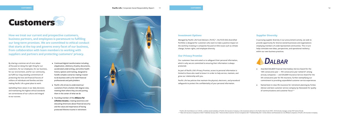**Pacific Life** | Corporate Social Responsibility Report 11 CUSTOMERS | CUSTOMERS | 2

- Continued digital transformation including eApplication, eDelivery of policy documents, accelerated underwriting, and online health history options and tracking, designed to handle complex scenarios making it easier to do business with us for both financial professionals and policyholders
- Pacific Life strives to understand our customers from a holistic 360-degree view, meeting them where they are and putting them in the center of what we do
- Founding member of the *Alliance for Lifetime Income*, creating awareness and educating Americans about financial security and the value and importance of having protected lifetime income in retirement



- Awarded DALBAR Financial Intermediary Service Award for the 18th consecutive year - 9th consecutive year ranked #1 among annuity companies — and DALBAR Insurance Service Award for the 5th consecutive year for life insurance, further exemplifying our commitment to providing unparalleled customer service experiences
- Named best-in-class life insurance for retirement planning by Forbes Advisor and best customer service company by Newsweek for quality of communications and customer focus\*\*

## **Customers**

Our customers have entrusted us to safeguard their personal information, which is why we are committed to ensuring their information is always protected.

As part of Pacific Life's Privacy Promise, access to personal information is limited to those who need to know it in order to help service, maintain, and grow our relationship with you.

Pacific Life has policies that maintain the physical, electronic, and procedural safeguards to protect the confidentiality of your personal information.

In pursuing supplier diversity in our procurement activity, we seek to provide opportunity for diverse-owned businesses and organizations employing members of underrepresented communities. This in turn helps stimulate new ideas, perspectives, and operational resiliency within our own business practices.



#### **Our Privacy Promise**

#### **Supplier Diversity**

By sharing a common set of core values all focused on doing the right thing for our customers, for our employees, for our business, for our environment, and for our community, we fulfill our long-standing commitment of protecting the lives and financial futures of millions of individuals and families and also making Pacific Life a great place to work.

Upholding these values in our daily decisions and maintaining the highest ethical standards are cornerstones of our culture and integral to our success.

**How we treat our current and prospective customers, business partners, and employees is paramount to fulfilling our long-term promises. We are committed to ethical conduct that starts at the top and governs every facet of our business, from collaboration with team members to working with suppliers and partners and protecting customers' privacy.**

Managed by Pacific Life Fund Advisors (PLFA)\*, the PLFA ESG diversified Portfolio is designed for customers who want to make a positive impact on the world by investing in companies focused on ESG issues such as climate change, human rights, and employee diversity.

#### **Investment Options**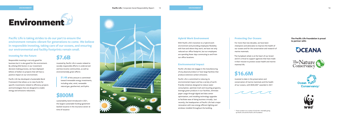invested to date in the preservation and conservation of marine mammals and the health of our oceans, with \$500,000\* awarded in 2021



### **\$16.6M**

invested by Pacific Life in assets related to socially responsible efforts in underserved and low-income communities, as well as environmentally green efforts

#### **ENVIRONMENT**

**\$1.4B** of this amount is committed toward renewable energy investments, including solar, wind, renewable natural gas, geothermal, and hydro.

sustainability bond introduced in 2021, the largest sustainable funding agreement backed issuance in the insurance sector at time of issuance



# Environment

### **\$7.6B**

### **\$800M**

**Pacific Life is taking strides to do our part to ensure the environment remains vibrant for generations to come. We believe in responsible investing, taking care of our oceans, and ensuring our environmental and facility footprints remain small.**

> Pacific Life does not engage in the manufacturing of any physical product or have large facilities that produce extensive carbon emissions.

Pacific Life is committed to reducing its environmental impact and has a variety of earthfriendly initiatives designed to reduce water consumption, optimize trash and recycling programs, leverage green products in our facilities, eliminate paper usage through digital and data center optimization, and installing technology upgrades to facilitate ease of doing business virtually. Just recently, the headquarters of Pacific Life had a major renovation with new energy efficient lighting and windows installed throughout the building.

For more than two decades, we have been champions and advocates to improve the health of our oceans and for the conservation and research of marine mammals.

The humpback whale is at the heart of our brand and it's critical to support agencies that have made it their mission to protect ocean health and marine mammal life.

#### **Protecting Our Oceans**

#### **Environmental Impact**

**The Pacific Life Foundation is proud to partner with:**









Responsible investing is not only good for business but it is also good for the environment. By utilizing ESG factors in our investment decision-making process, we have deployed billions of dollars to projects that will have a positive impact on our environment.

Pacific Life has developed a Sustainable Bond Framework that allows us to raise funds for specific investments related to efficiency projects and technologies that are designed to enable energy and emissions reductions.

#### **Investing for the Future**

With Pacific Life's transition to a hybrid-work environment and providing employees flexibility with how and where they work, we have not only reduced our office footprint, but our employees are spending fewer days commuting to and from our office locations.

#### **Hybrid Work Environment**

\* These numbers are a subset of total 2021 charitable giving by Pacific Life and the Pacific Life Foundation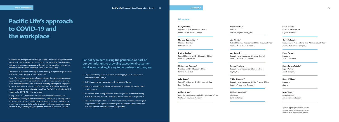Pacific Life has a long history of strength and resiliency in meeting the moment for our policyholders when they've needed us the most. That foundation has enabled us to keep our promises and deliver benefits year after year, helping millions of individuals and families to weather the unexpected.

The COVID-19 pandemic challenged us in every way, but protecting individuals and families is our purpose. It's why we're here.

To care for the health and safety of our employees throughout the pandemic, more than 98 percent of our workforce transitioned successfully to a homebased work environment, with Pacific Life providing funding to all employees to ensure they had space they could feel comfortable in and be productive from. In preparation for a safe return to office, Pacific Life is adhering to CDC guidelines for COVID-19 in the workplace.

During 2020 – 2021, the Pacific Life Foundation contributed more than **\$1.8 million** in funding to meet the community challenges specifically caused by the pandemic. We are proud to have supported food banks and pantries, contributed to community funds for those who lost employment, and helped our community heroes fighting the pandemic in need of childcare services.

**For policyholders during the pandemic, as part of our commitment to providing exceptional customer service and making it easy to do business with us, we:**

- Helped keep their policies in force by extending payment deadlines for at least an additional 60 days
- Staffed customer service centers with remote workforces
- Kept policies in force for missed payments with premium repayment plans in select states
- Accelerated underwriting initiatives and leveraged alternate underwriting whenever possible to address medical exam and social distancing concerns
- Expanded our digital efforts to further improve our processes, including our e-application and e-signature technology for quicker and safer interactions with both financial professionals and policyholders

## **Pacific Life's approach to COVID-19 and the workplace**

#### **Directors**

**Darryl Button 1, 2, 3** President and Chief Executive Officer *Pacific Life Insurance Company* 

**Mariann Byerwalter 1, 4**  Chairman Emeritus *SRI International*

**Dwight Decker <sup>1</sup>** Retired Chairman and Chief Executive Officer *Conexant Systems, Inc.* 

**Christopher Furman <sup>1</sup>** President and Chief Executive Officer *Ventura Foods, LLC*

#### **Julia Gouw <sup>1</sup>**

Retired President and Chief Operating Officer *East West Bank* 

#### **Adrian Griggs 2, 3**

Executive Vice President and Chief Operating Officer *Pacific Life Insurance Company*

#### **Lawrence Harr**

Partner *Lamson, Dugan & Murray, LLP*

**Jim Morris <sup>1</sup>** Retired Chairman, President and Chief Executive Officer *Pacific Life Insurance Company* 

**Jay Orlandi 2, 3** Executive Vice President and General Counsel *Pacific Life Insurance Company* 

**Louise Pentland <sup>1</sup>** Executive Vice President and Senior Advisor *PayPal, Inc.* 

**Vibhu Sharma 2, 3** Executive Vice President and Chief Financial Officer *Pacific Life Insurance Company*

**Michael Shepherd <sup>1</sup>** Chairman *Bank of the West*

**Scott Stowell <sup>1</sup>** Chief Executive Officer *Capital Thirteen LLC* 

**Carol Sudbeck <sup>2</sup>** Executive Vice President and Chief Administrative Officer *Pacific Life Insurance Company* 

**Peter Taylor <sup>1</sup>** President *ECMC Foundation* 

**Maria Teresa Tejada <sup>1</sup>** Expert Partner *Bain & Company*

**Kerry Williams <sup>1</sup>** President *Experian*

**Dean Yoost <sup>1</sup>** Retired Partner *PricewaterhouseCoopers*

<sup>1</sup> Director of Pacific Mutual Holding Company

<sup>2</sup> Director of Pacific LifeCorp

<sup>3</sup> Director of Pacific Life Insurance Company

<sup>4</sup> Chair of Pacific Mutual Holding Company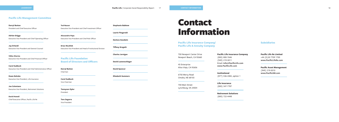700 Newport Center Drive Newport Beach, CA 92660

45 Enterprise Aliso Viejo, CA 92656

6750 Mercy Road Omaha, NE 68103

700 Main Street Lynchburg, VA 24504

**Pacific Life Insurance Company** (800) 800-7646 (949) 219-3011 Email: **Info@PacificLife.com www.PacificLife.com**

**Institutional**  (877) 536-4382, option 1

**Life Insurance**  (800) 347-7787

**Retirement Solutions** (800) 722-4448

**Pacific Life Insurance Company/ Pacific Life & Annuity Company**

> **Pacific Life Re Limited** +44 (0)20 7709 1700 **www.PacificLifeRe.com**

**Pacific Asset Management**  (949) 219-5010 **www.PacificAM.com**

#### **Subsidiaries**

#### **Pacific Life Management Committee**

**Pacific Life Foundation Board of Directors and Officers**

**Darryl Button** President and Chief Executive Officer

**Adrian Griggs** Executive Vice President and Chief Operating Officer

**Jay Orlandi** Executive Vice President and General Counsel

**Vibhu Sharma** Executive Vice President and Chief Financial Officer

**Carol Sudbeck** Executive Vice President and Chief Administrative Officer

**Dawn Behnke** Executive Vice President, Life Insurance

**Joe Celentano** Executive Vice President, Retirement Solutions

**David Howell**

Chief Executive Officer, Pacific Life Re

#### **Stephanie Babkow**

**Laurie Fitzgerald**

**Darlene Goodwin**

**Tiffany Gregath**

**Charles Jernigan**

**David Lautenschlager**

**David Spencer**

**Elizabeth Summers**

## Contact Information

**Tod Nasser** Executive Vice President and Chief Investment Officer

**Alessandro Papa** Executive Vice President and Chief Risk Officer

**Brian Woolfolk** Executive Vice President and Head of Institutional Division

**Darryl Button** Chairman

**Carol Sudbeck** Vice Chairman

**Tennyson Oyler** President

**Tere Segarra** Vice President